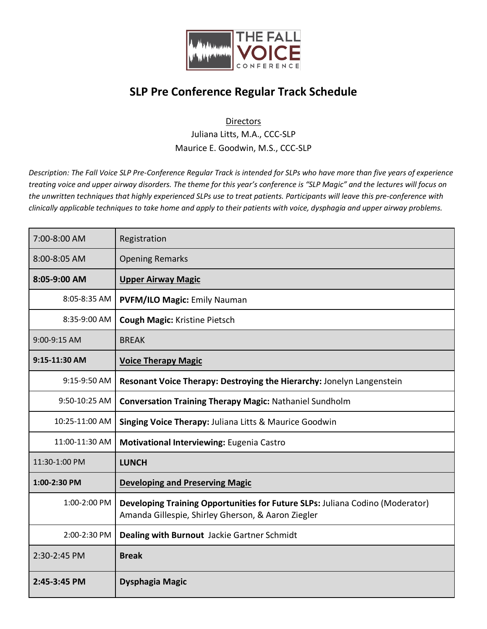

## **SLP Pre Conference Regular Track Schedule**

## **Directors**

Juliana Litts, M.A., CCC-SLP Maurice E. Goodwin, M.S., CCC-SLP

*Description: The Fall Voice SLP Pre-Conference Regular Track is intended for SLPs who have more than five years of experience treating voice and upper airway disorders. The theme for this year's conference is "SLP Magic" and the lectures will focus on the unwritten techniques that highly experienced SLPs use to treat patients. Participants will leave this pre-conference with clinically applicable techniques to take home and apply to their patients with voice, dysphagia and upper airway problems.*

| 7:00-8:00 AM   | Registration                                                                                                                        |
|----------------|-------------------------------------------------------------------------------------------------------------------------------------|
| 8:00-8:05 AM   | <b>Opening Remarks</b>                                                                                                              |
| 8:05-9:00 AM   | <b>Upper Airway Magic</b>                                                                                                           |
| 8:05-8:35 AM   | <b>PVFM/ILO Magic: Emily Nauman</b>                                                                                                 |
| 8:35-9:00 AM   | <b>Cough Magic: Kristine Pietsch</b>                                                                                                |
| 9:00-9:15 AM   | <b>BREAK</b>                                                                                                                        |
| 9:15-11:30 AM  | <b>Voice Therapy Magic</b>                                                                                                          |
| $9:15-9:50$ AM | Resonant Voice Therapy: Destroying the Hierarchy: Jonelyn Langenstein                                                               |
| 9:50-10:25 AM  | <b>Conversation Training Therapy Magic: Nathaniel Sundholm</b>                                                                      |
| 10:25-11:00 AM | Singing Voice Therapy: Juliana Litts & Maurice Goodwin                                                                              |
| 11:00-11:30 AM | <b>Motivational Interviewing: Eugenia Castro</b>                                                                                    |
| 11:30-1:00 PM  | <b>LUNCH</b>                                                                                                                        |
| 1:00-2:30 PM   | <b>Developing and Preserving Magic</b>                                                                                              |
| 1:00-2:00 PM   | Developing Training Opportunities for Future SLPs: Juliana Codino (Moderator)<br>Amanda Gillespie, Shirley Gherson, & Aaron Ziegler |
| 2:00-2:30 PM   | Dealing with Burnout Jackie Gartner Schmidt                                                                                         |
| 2:30-2:45 PM   | <b>Break</b>                                                                                                                        |
| 2:45-3:45 PM   | Dysphagia Magic                                                                                                                     |